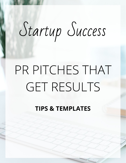# Startup Success

# PR PITCHES THAT **GET RESULTS**

**TIPS & TEMPLATES**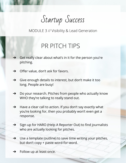Startup Success

## PR PITCH TIPS

- ➔ Get really clear about what's in it for the person you're pitching.
- $\rightarrow$  Offer value, don't ask for favors.
- $\rightarrow$  Give enough details to interest, but don't make it too long. People are busy!
- → Do your research. Pitches from people who actually know WHO they're talking to really stand out.
- ➔ Have a clear call to action. If you don't say exactly what you're looking for, then you probably won't even get a response.
- ➔ Sign up for HARO (Help A Reporter Out) to find journalists who are actually looking for pitches.
- $\rightarrow$  Use a template (outline) to save time writing your pitches, but don't copy + paste word-for-word.
- $\rightarrow$  Follow up at least once.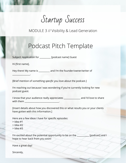Startup Success

#### Podcast Pitch Template

Subject: Application for \_\_\_\_\_\_\_\_\_\_ [podcast name] Guest

Hi [first name],

\_\_\_\_\_\_\_\_\_\_\_\_\_\_\_\_.

Hey there! My name is and I'm the founder/owner/writer of

[Brief mention of something *specific* you love about the podcast.]

I'm reaching out because I was wondering if you're currently looking for new podcast guest.

I know that your audience really appreciates \_\_\_\_\_\_\_\_\_\_\_\_\_\_\_ and I'd love to share with them  $\blacksquare$ 

[Insert details about how you discovered this or what results you or your clients have gotten with this information.]

Here are a few ideas I have for specific episodes:

- > Idea #1
- > Idea #2
- > Idea #3

I'm excited about the potential opportunity to be on the [podcast] and I hope to hear back from you soon!

Have a great day!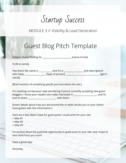Startup Success

### **Guest Blog Pitch Template**

Subject: Guest Posting for **Example 20** [name of site]

Hi [first name],

| Hey there! My name is | and I'm a        | [job description] |
|-----------------------|------------------|-------------------|
| who helps             | [type of person] | [get X]           |
| result].              |                  |                   |

[Brief mention of something *specific* you love about the site.]

I'm reaching out because I was wondering if you're currently accepting new guest bloggers. I know your readers are really interested in \_\_\_\_\_\_\_\_\_\_\_\_\_\_\_\_\_\_\_\_\_, and I'd love to share **Latter and Share** with them.

[Insert details about how you discovered this or what results you or your clients have gotten with this information.]

Here are a few ideas I have for guest posts I could write for your site:

- > Idea #1
- > Idea #2
- > Idea #3

I'm excited about the potential opportunity to guest post on your site, and I hope to hear back from you soon!

Have a great day!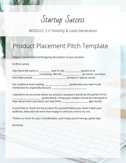Startup Success

#### Product Placement Pitch Template

Subject: fun/sensational/intriguing description of your product

Hi [first name],

Hey there! My name is \_\_\_\_\_\_\_\_\_\_ and I'm the \_\_\_\_\_\_\_\_\_\_\_\_\_ [position] at \_\_\_\_\_\_\_\_\_\_\_\_\_\_\_\_\_\_\_\_\_\_\_\_ [company]. We sell \_\_\_\_\_\_\_\_\_\_\_\_\_\_\_\_\_\_ [product], a product that helps people \_\_\_\_\_\_\_\_\_\_\_\_\_\_\_\_\_\_\_\_\_\_\_\_\_\_\_\_\_\_ [unique or special value].

Our audience loves reading \_\_\_\_\_\_\_\_\_\_\_\_\_\_\_\_\_\_\_\_\_\_\_\_\_ [publication you want to be mentioned in], especially because \_\_\_\_\_\_\_\_\_\_\_\_\_\_\_\_\_\_\_\_\_\_\_\_\_\_\_\_\_\_\_.

I wanted to let you know about our product, because it would be the perfect fit for \_\_\_\_\_\_\_\_\_\_\_\_\_\_\_\_\_\_\_\_\_\_\_\_\_\_ [publication]. I know your readers would be interested to hear about how it [product] can help them **wheread in the case of the substanti**ct [get result].

If you'd like to check out the product for yourself before you share it with your audience, then we'd be more than happy to send you one to try out.

Thanks so much for your consideration, and I hope you're having a great day!